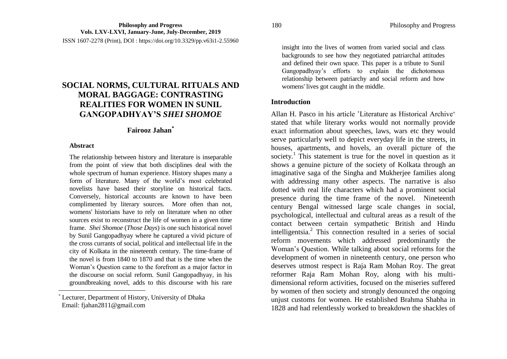ISSN 1607-2278 (Print), DOI : https://doi.org/10.3329/pp.v63i1-2.55960

# **SOCIAL NORMS, CULTURAL RITUALS AND MORAL BAGGAGE: CONTRASTING REALITIES FOR WOMEN IN SUNIL GANGOPADHYAY'S** *SHEI SHOMOE*

# **Fairooz Jahan\***

#### **Abstract**

 $\overline{\phantom{a}}$ 

The relationship between history and literature is inseparable from the point of view that both disciplines deal with the whole spectrum of human experience. History shapes many a form of literature. Many of the world's most celebrated novelists have based their storyline on historical facts. Conversely, historical accounts are known to have been complimented by literary sources. More often than not, womens' historians have to rely on literature when no other sources exist to reconstruct the life of women in a given time frame. *Shei Shomoe* (*Those Days*) is one such historical novel by Sunil Gangopadhyay where he captured a vivid picture of the cross currants of social, political and intellectual life in the city of Kolkata in the nineteenth century. The time-frame of the novel is from 1840 to 1870 and that is the time when the Woman's Question came to the forefront as a major factor in the discourse on social reform. Sunil Gangopadhyay, in his groundbreaking novel, adds to this discourse with his rare

\* Lecturer, Department of History, University of Dhaka Email: fjahan2811@gmail.com

insight into the lives of women from varied social and class backgrounds to see how they negotiated patriarchal attitudes and defined their own space. This paper is a tribute to Sunil Gangopadhyay's efforts to explain the dichotomous relationship between patriarchy and social reform and how womens' lives got caught in the middle.

#### **Introduction**

Allan H. Pasco in his article 'Literature as Historical Archive' stated that while literary works would not normally provide exact information about speeches, laws, wars etc they would serve particularly well to depict everyday life in the streets, in houses, apartments, and hovels, an overall picture of the society.<sup>1</sup> This statement is true for the novel in question as it shows a genuine picture of the society of Kolkata through an imaginative saga of the Singha and Mukherjee families along with addressing many other aspects. The narrative is also dotted with real life characters which had a prominent social presence during the time frame of the novel. Nineteenth century Bengal witnessed large scale changes in social, psychological, intellectual and cultural areas as a result of the contact between certain sympathetic British and Hindu intelligentsia.<sup>2</sup> This connection resulted in a series of social reform movements which addressed predominantly the Woman's Question. While talking about social reforms for the development of women in nineteenth century, one person who deserves utmost respect is Raja Ram Mohan Roy. The great reformer Raja Ram Mohan Roy, along with his multidimensional reform activities, focused on the miseries suffered by women of then society and strongly denounced the ongoing unjust customs for women. He established Brahma Shabha in 1828 and had relentlessly worked to breakdown the shackles of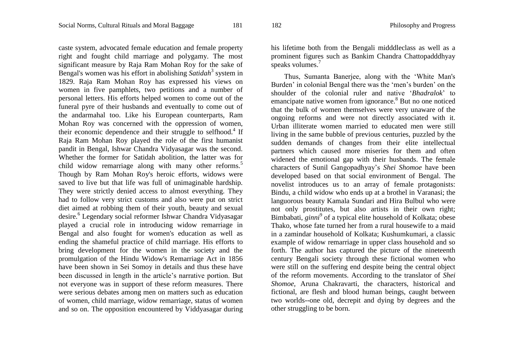caste system, advocated female education and female property right and fought child marriage and polygamy. The most significant measure by Raja Ram Mohan Roy for the sake of Bengal's women was his effort in abolishing *Satidah*<sup>3</sup> system in 1829. Raja Ram Mohan Roy has expressed his views on women in five pamphlets, two petitions and a number of personal letters. His efforts helped women to come out of the funeral pyre of their husbands and eventually to come out of the andarmahal too. Like his European counterparts, Ram Mohan Roy was concerned with the oppression of women, their economic dependence and their struggle to selfhood.<sup>4</sup> If Raja Ram Mohan Roy played the role of the first humanist pandit in Bengal, Ishwar Chandra Vidyasagar was the second. Whether the former for Satidah abolition, the latter was for child widow remarriage along with many other reforms.<sup>5</sup> Though by Ram Mohan Roy's heroic efforts, widows were saved to live but that life was full of unimaginable hardship. They were strictly denied access to almost everything. They had to follow very strict customs and also were put on strict diet aimed at robbing them of their youth, beauty and sexual desire.<sup>6</sup> Legendary social reformer Ishwar Chandra Vidyasagar played a crucial role in introducing widow remarriage in Bengal and also fought for women's education as well as ending the shameful practice of child marriage. His efforts to bring development for the women in the society and the promulgation of the Hindu Widow's Remarriage Act in 1856 have been shown in Sei Somoy in details and thus these have been discussed in length in the article's narrative portion. But not everyone was in support of these reform measures. There were serious debates among men on matters such as education of women, child marriage, widow remarriage, status of women and so on. The opposition encountered by Viddyasagar during

his lifetime both from the Bengali midddleclass as well as a prominent figures such as Bankim Chandra Chattopadddhyay speaks volumes.<sup>7</sup>

Thus, Sumanta Banerjee, along with the 'White Man's Burden' in colonial Bengal there was the 'men's burden' on the shoulder of the colonial ruler and native ‗*Bhadralok*' to emancipate native women from ignorance.<sup>8</sup> But no one noticed that the bulk of women themselves were very unaware of the ongoing reforms and were not directly associated with it. Urban illiterate women married to educated men were still living in the same bubble of previous centuries, puzzled by the sudden demands of changes from their elite intellectual partners which caused more miseries for them and often widened the emotional gap with their husbands. The female characters of Sunil Gangopadhyay's *Shei Shomoe* have been developed based on that social environment of Bengal. The novelist introduces us to an array of female protagonists: Bindu, a child widow who ends up at a brothel in Varanasi; the languorous beauty Kamala Sundari and Hira Bulbul who were not only prostitutes, but also artists in their own right; Bimbabati, *ginni<sup>9</sup>* of a typical elite household of Kolkata; obese Thako, whose fate turned her from a rural housewife to a maid in a zamindar household of Kolkata; Kushumkumari, a classic example of widow remarriage in upper class household and so forth. The author has captured the picture of the nineteenth century Bengali society through these fictional women who were still on the suffering end despite being the central object of the reform movements. According to the translator of *Shei Shomoe,* Aruna Chakravarti, the characters, historical and fictional, are flesh and blood human beings, caught between two worlds--one old, decrepit and dying by degrees and the other struggling to be born.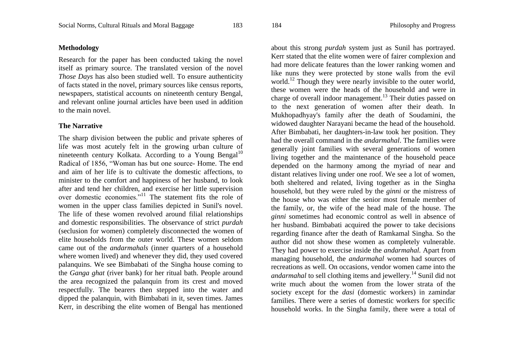# **Methodology**

Research for the paper has been conducted taking the novel itself as primary source. The translated version of the novel *Those Days* has also been studied well. To ensure authenticity of facts stated in the novel, primary sources like census reports, newspapers, statistical accounts on nineteenth century Bengal, and relevant online journal articles have been used in addition to the main novel.

# **The Narrative**

The sharp division between the public and private spheres of life was most acutely felt in the growing urban culture of nineteenth century Kolkata. According to a Young Bengal<sup>10</sup> Radical of 1856, "Woman has but one source- Home. The end and aim of her life is to cultivate the domestic affections, to minister to the comfort and happiness of her husband, to look after and tend her children, and exercise her little supervision over domestic economies."<sup>11</sup> The statement fits the role of women in the upper class families depicted in Sunil's novel. The life of these women revolved around filial relationships and domestic responsibilities. The observance of strict *purdah*  (seclusion for women) completely disconnected the women of elite households from the outer world. These women seldom came out of the *andarmahals* (inner quarters of a household where women lived) and whenever they did, they used covered palanquins. We see Bimbabati of the Singha house coming to the *Ganga ghat* (river bank) for her ritual bath. People around the area recognized the palanquin from its crest and moved respectfully. The bearers then stepped into the water and dipped the palanquin, with Bimbabati in it, seven times. James Kerr, in describing the elite women of Bengal has mentioned

about this strong *purdah* system just as Sunil has portrayed. Kerr stated that the elite women were of fairer complexion and had more delicate features than the lower ranking women and like nuns they were protected by stone walls from the evil world.<sup>12</sup> Though they were nearly invisible to the outer world, these women were the heads of the household and were in charge of overall indoor management.<sup>13</sup> Their duties passed on to the next generation of women after their death. In Mukhopadhyay's family after the death of Soudamini, the widowed daughter Narayani became the head of the household. After Bimbabati, her daughters-in-law took her position. They had the overall command in the *andarmahal*. The families were generally joint families with several generations of women living together and the maintenance of the household peace depended on the harmony among the myriad of near and distant relatives living under one roof. We see a lot of women, both sheltered and related, living together as in the Singha household, but they were ruled by the *ginni* or the mistress of the house who was either the senior most female member of the family, or, the wife of the head male of the house. The *ginni* sometimes had economic control as well in absence of her husband. Bimbabati acquired the power to take decisions regarding finance after the death of Ramkamal Singha. So the author did not show these women as completely vulnerable. They had power to exercise inside the *andarmahal.* Apart from managing household, the *andarmahal* women had sources of recreations as well. On occasions, vendor women came into the *andarmahal* to sell clothing items and jewellery.<sup>14</sup> Sunil did not write much about the women from the lower strata of the society except for the *dasi* (domestic workers) in zamindar families. There were a series of domestic workers for specific household works. In the Singha family, there were a total of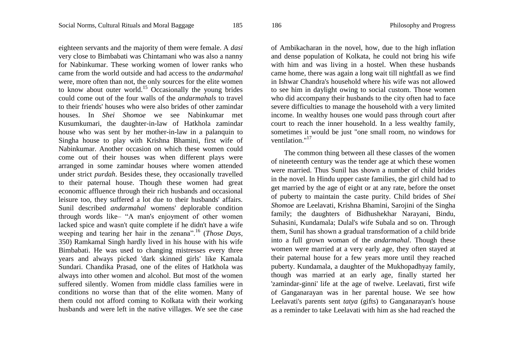eighteen servants and the majority of them were female. A *dasi*  very close to Bimbabati was Chintamani who was also a nanny for Nabinkumar. These working women of lower ranks who came from the world outside and had access to the *andarmahal* were, more often than not, the only sources for the elite women to know about outer world.<sup>15</sup> Occasionally the young brides could come out of the four walls of the *andarmahals* to travel to their friends' houses who were also brides of other zamindar houses. In *Shei Shomoe* we see Nabinkumar met Kusumkumari, the daughter-in-law of Hatkhola zamindar house who was sent by her mother-in-law in a palanquin to Singha house to play with Krishna Bhamini, first wife of Nabinkumar. Another occasion on which these women could come out of their houses was when different plays were arranged in some zamindar houses where women attended under strict *purdah*. Besides these, they occasionally travelled to their paternal house. Though these women had great economic affluence through their rich husbands and occasional leisure too, they suffered a lot due to their husbands' affairs. Sunil described *andarmahal* womens' deplorable condition through words like– "A man's enjoyment of other women lacked spice and wasn't quite complete if he didn't have a wife weeping and tearing her hair in the zenana".<sup>16</sup> (*Those Days,* 350) Ramkamal Singh hardly lived in his house with his wife Bimbabati. He was used to changing mistresses every three years and always picked 'dark skinned girls' like Kamala Sundari. Chandika Prasad, one of the elites of Hatkhola was always into other women and alcohol. But most of the women suffered silently. Women from middle class families were in conditions no worse than that of the elite women. Many of them could not afford coming to Kolkata with their working husbands and were left in the native villages. We see the case

of Ambikacharan in the novel, how, due to the high inflation and dense population of Kolkata, he could not bring his wife with him and was living in a hostel. When these husbands came home, there was again a long wait till nightfall as we find in Ishwar Chandra's household where his wife was not allowed to see him in daylight owing to social custom. Those women who did accompany their husbands to the city often had to face severe difficulties to manage the household with a very limited income. In wealthy houses one would pass through court after court to reach the inner household. In a less wealthy family, sometimes it would be just "one small room, no windows for ventilation."<sup>17</sup>

The common thing between all these classes of the women of nineteenth century was the tender age at which these women were married. Thus Sunil has shown a number of child brides in the novel. In Hindu upper caste families, the girl child had to get married by the age of eight or at any rate, before the onset of puberty to maintain the caste purity. Child brides of *Shei Shomoe* are Leelavati, Krishna Bhamini, Sarojini of the Singha family; the daughters of Bidhushekhar Narayani, Bindu, Suhasini, Kundamala; Dulal's wife Subala and so on. Through them, Sunil has shown a gradual transformation of a child bride into a full grown woman of the *andarmahal*. Though these women were married at a very early age, they often stayed at their paternal house for a few years more until they reached puberty. Kundamala, a daughter of the Mukhopadhyay family, though was married at an early age, finally started her 'zamindar-ginni' life at the age of twelve. Leelavati, first wife of Ganganarayan was in her parental house. We see how Leelavati's parents sent *tatya* (gifts) to Ganganarayan's house as a reminder to take Leelavati with him as she had reached the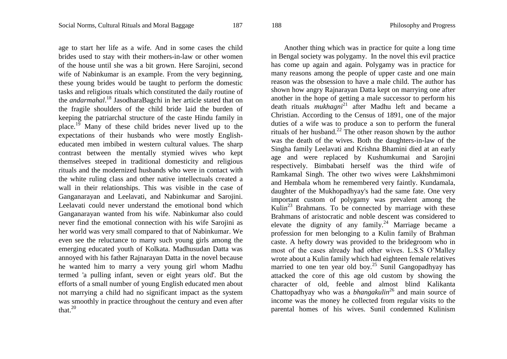age to start her life as a wife. And in some cases the child brides used to stay with their mothers-in-law or other women of the house until she was a bit grown. Here Sarojini, second wife of Nabinkumar is an example. From the very beginning, these young brides would be taught to perform the domestic tasks and religious rituals which constituted the daily routine of the *andarmahal*. <sup>18</sup> JasodharaBagchi in her article stated that on the fragile shoulders of the child bride laid the burden of keeping the patriarchal structure of the caste Hindu family in place.<sup>19</sup> Many of these child brides never lived up to the expectations of their husbands who were mostly Englisheducated men imbibed in western cultural values. The sharp contrast between the mentally stymied wives who kept themselves steeped in traditional domesticity and religious rituals and the modernized husbands who were in contact with the white ruling class and other native intellectuals created a wall in their relationships. This was visible in the case of Ganganarayan and Leelavati, and Nabinkumar and Sarojini. Leelavati could never understand the emotional bond which Ganganarayan wanted from his wife. Nabinkumar also could never find the emotional connection with his wife Sarojini as her world was very small compared to that of Nabinkumar. We even see the reluctance to marry such young girls among the emerging educated youth of Kolkata. Madhusudan Datta was annoyed with his father Rajnarayan Datta in the novel because he wanted him to marry a very young girl whom Madhu termed 'a pulling infant, seven or eight years old'. But the efforts of a small number of young English educated men about not marrying a child had no significant impact as the system was smoothly in practice throughout the century and even after that.<sup>20</sup>

Another thing which was in practice for quite a long time in Bengal society was polygamy. In the novel this evil practice has come up again and again. Polygamy was in practice for many reasons among the people of upper caste and one main reason was the obsession to have a male child. The author has shown how angry Rajnarayan Datta kept on marrying one after another in the hope of getting a male successor to perform his death rituals *mukhagni*<sup>21</sup> after Madhu left and became a Christian. According to the Census of 1891, one of the major duties of a wife was to produce a son to perform the funeral rituals of her husband.<sup>22</sup> The other reason shown by the author was the death of the wives. Both the daughters-in-law of the Singha family Leelavati and Krishna Bhamini died at an early age and were replaced by Kushumkumai and Sarojini respectively. Bimbabati herself was the third wife of Ramkamal Singh. The other two wives were Lakhshmimoni and Hembala whom he remembered very faintly. Kundamala, daughter of the Mukhopadhyay's had the same fate. One very important custom of polygamy was prevalent among the Kulin<sup>23</sup> Brahmans. To be connected by marriage with these Brahmans of aristocratic and noble descent was considered to elevate the dignity of any family.<sup>24</sup> Marriage became a profession for men belonging to a Kulin family of Brahman caste. A hefty dowry was provided to the bridegroom who in most of the cases already had other wives. L.S.S O'Malley wrote about a Kulin family which had eighteen female relatives married to one ten year old boy.<sup>25</sup> Sunil Gangopadhyay has attacked the core of this age old custom by showing the character of old, feeble and almost blind Kalikanta Chattopadhyay who was a *bhangakulin*<sup>26</sup> and main source of income was the money he collected from regular visits to the parental homes of his wives. Sunil condemned Kulinism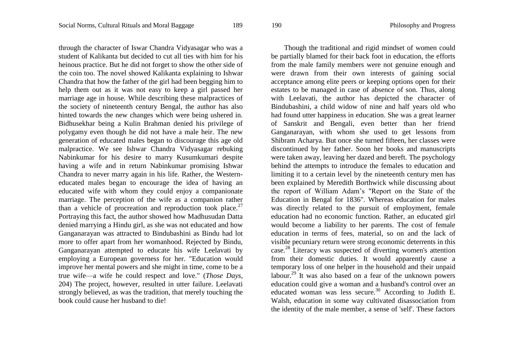through the character of Iswar Chandra Vidyasagar who was a student of Kalikanta but decided to cut all ties with him for his heinous practice. But he did not forget to show the other side of the coin too. The novel showed Kalikanta explaining to Ishwar Chandra that how the father of the girl had been begging him to help them out as it was not easy to keep a girl passed her marriage age in house. While describing these malpractices of the society of nineteenth century Bengal, the author has also hinted towards the new changes which were being ushered in. Bidhusekhar being a Kulin Brahman denied his privilege of polygamy even though he did not have a male heir. The new generation of educated males began to discourage this age old malpractice. We see Ishwar Chandra Vidyasagar rebuking Nabinkumar for his desire to marry Kusumkumari despite having a wife and in return Nabinkumar promising Ishwar Chandra to never marry again in his life. Rather, the Westerneducated males began to encourage the idea of having an educated wife with whom they could enjoy a companionate marriage. The perception of the wife as a companion rather than a vehicle of procreation and reproduction took place.<sup>27</sup> Portraying this fact, the author showed how Madhusudan Datta denied marrying a Hindu girl, as she was not educated and how Ganganarayan was attracted to Bindubashini as Bindu had lot more to offer apart from her womanhood. Rejected by Bindu, Ganganarayan attempted to educate his wife Leelavati by employing a European governess for her. "Education would improve her mental powers and she might in time, come to be a true wife—a wife he could respect and love." (*Those Days*, 204) The project, however, resulted in utter failure. Leelavati strongly believed, as was the tradition, that merely touching the book could cause her husband to die!

Though the traditional and rigid mindset of women could be partially blamed for their back foot in education, the efforts from the male family members were not genuine enough and were drawn from their own interests of gaining social acceptance among elite peers or keeping options open for their estates to be managed in case of absence of son. Thus, along with Leelavati, the author has depicted the character of Bindubashini, a child widow of nine and half years old who had found utter happiness in education. She was a great learner of Sanskrit and Bengali, even better than her friend Ganganarayan, with whom she used to get lessons from Shibram Acharya. But once she turned fifteen, her classes were discontinued by her father. Soon her books and manuscripts were taken away, leaving her dazed and bereft. The psychology behind the attempts to introduce the females to education and limiting it to a certain level by the nineteenth century men has been explained by Meredith Borthwick while discussing about the report of William Adam's "Report on the State of the Education in Bengal for 1836". Whereas education for males was directly related to the pursuit of employment, female education had no economic function. Rather, an educated girl would become a liability to her parents. The cost of female education in terms of fees, material, so on and the lack of visible pecuniary return were strong economic deterrents in this case.<sup>28</sup> Literacy was suspected of diverting women's attention from their domestic duties. It would apparently cause a temporary loss of one helper in the household and their unpaid labour.<sup>29</sup> It was also based on a fear of the unknown powers education could give a woman and a husband's control over an educated woman was less secure.<sup>30</sup> According to Judith E. Walsh, education in some way cultivated disassociation from the identity of the male member, a sense of 'self'. These factors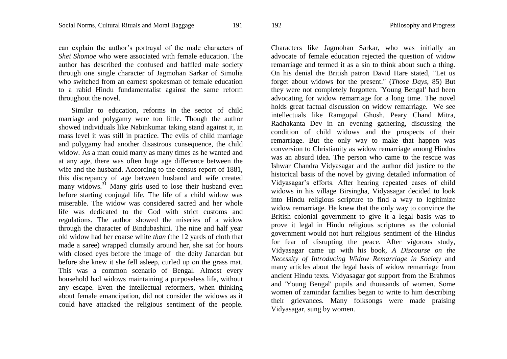can explain the author's portrayal of the male characters of *Shei Shomoe* who were associated with female education. The author has described the confused and baffled male society through one single character of Jagmohan Sarkar of Simulia who switched from an earnest spokesman of female education to a rabid Hindu fundamentalist against the same reform throughout the novel.

Similar to education, reforms in the sector of child marriage and polygamy were too little. Though the author showed individuals like Nabinkumar taking stand against it, in mass level it was still in practice. The evils of child marriage and polygamy had another disastrous consequence, the child widow. As a man could marry as many times as he wanted and at any age, there was often huge age difference between the wife and the husband. According to the census report of 1881, this discrepancy of age between husband and wife created many widows.<sup>31</sup> Many girls used to lose their husband even before starting conjugal life. The life of a child widow was miserable. The widow was considered sacred and her whole life was dedicated to the God with strict customs and regulations. The author showed the miseries of a widow through the character of Bindubashini. The nine and half year old widow had her coarse white *than* (the 12 yards of cloth that made a saree) wrapped clumsily around her, she sat for hours with closed eyes before the image of the deity Janardan but before she knew it she fell asleep, curled up on the grass mat. This was a common scenario of Bengal. Almost every household had widows maintaining a purposeless life, without any escape. Even the intellectual reformers, when thinking about female emancipation, did not consider the widows as it could have attacked the religious sentiment of the people.

Characters like Jagmohan Sarkar, who was initially an advocate of female education rejected the question of widow remarriage and termed it as a sin to think about such a thing. On his denial the British patron David Hare stated, "Let us forget about widows for the present." (*Those Days*, 85) But they were not completely forgotten. 'Young Bengal' had been advocating for widow remarriage for a long time. The novel holds great factual discussion on widow remarriage. We see intellectuals like Ramgopal Ghosh, Peary Chand Mitra, Radhakanta Dev in an evening gathering, discussing the condition of child widows and the prospects of their remarriage. But the only way to make that happen was conversion to Christianity as widow remarriage among Hindus was an absurd idea. The person who came to the rescue was Ishwar Chandra Vidyasagar and the author did justice to the historical basis of the novel by giving detailed information of Vidyasagar's efforts. After hearing repeated cases of child widows in his village Birsingha, Vidyasagar decided to look into Hindu religious scripture to find a way to legitimize widow remarriage. He knew that the only way to convince the British colonial government to give it a legal basis was to prove it legal in Hindu religious scriptures as the colonial government would not hurt religious sentiment of the Hindus for fear of disrupting the peace. After vigorous study, Vidyasagar came up with his book, *A Discourse on the Necessity of Introducing Widow Remarriage in Society* and many articles about the legal basis of widow remarriage from ancient Hindu texts. Vidyasagar got support from the Brahmos and 'Young Bengal' pupils and thousands of women. Some women of zamindar families began to write to him describing their grievances. Many folksongs were made praising Vidyasagar, sung by women.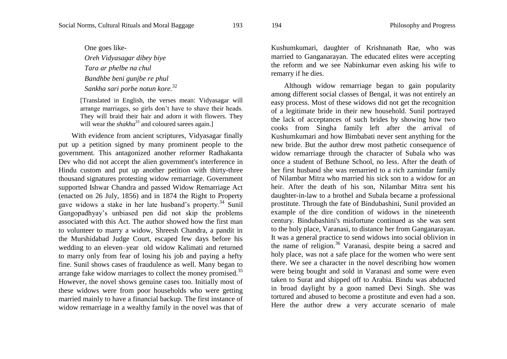One goes like-*Oreh Vidyasagar dibey biye Tara ar phelbe na chul Bandhbe beni gunjbe re phul Sankha sari porbe notun kore.*<sup>32</sup>

[Translated in English, the verses mean: Vidyasagar will arrange marriages, so girls don't have to shave their heads. They will braid their hair and adorn it with flowers. They will wear the *shakha*<sup>33</sup> and coloured sarees again.]

With evidence from ancient scriptures, Vidyasagar finally put up a petition signed by many prominent people to the government. This antagonized another reformer Radhakanta Dev who did not accept the alien government's interference in Hindu custom and put up another petition with thirty-three thousand signatures protesting widow remarriage. Government supported Ishwar Chandra and passed Widow Remarriage Act (enacted on 26 July, 1856) and in 1874 the Right to Property gave widows a stake in her late husband's property.<sup>34</sup> Sunil Gangopadhyay's unbiased pen did not skip the problems associated with this Act. The author showed how the first man to volunteer to marry a widow, Shreesh Chandra, a pandit in the Murshidabad Judge Court, escaped few days before his wedding to an eleven–year old widow Kalimati and returned to marry only from fear of losing his job and paying a hefty fine. Sunil shows cases of fraudulence as well. Many began to arrange fake widow marriages to collect the money promised.<sup>35</sup> However, the novel shows genuine cases too. Initially most of these widows were from poor households who were getting married mainly to have a financial backup. The first instance of widow remarriage in a wealthy family in the novel was that of

Kushumkumari, daughter of Krishnanath Rae, who was married to Ganganarayan. The educated elites were accepting the reform and we see Nabinkumar even asking his wife to remarry if he dies.

Although widow remarriage began to gain popularity among different social classes of Bengal, it was not entirely an easy process. Most of these widows did not get the recognition of a legitimate bride in their new household. Sunil portrayed the lack of acceptances of such brides by showing how two cooks from Singha family left after the arrival of Kushumkumari and how Bimbabati never sent anything for the new bride. But the author drew most pathetic consequence of widow remarriage through the character of Subala who was once a student of Bethune School, no less. After the death of her first husband she was remarried to a rich zamindar family of Nilambar Mitra who married his sick son to a widow for an heir. After the death of his son, Nilambar Mitra sent his daughter-in-law to a brothel and Subala became a professional prostitute. Through the fate of Bindubashini, Sunil provided an example of the dire condition of widows in the nineteenth century. Bindubashini's misfortune continued as she was sent to the holy place, Varanasi, to distance her from Ganganarayan. It was a general practice to send widows into social oblivion in the name of religion.<sup>36</sup> Varanasi, despite being a sacred and holy place, was not a safe place for the women who were sent there. We see a character in the novel describing how women were being bought and sold in Varanasi and some were even taken to Surat and shipped off to Arabia. Bindu was abducted in broad daylight by a goon named Devi Singh. She was tortured and abused to become a prostitute and even had a son. Here the author drew a very accurate scenario of male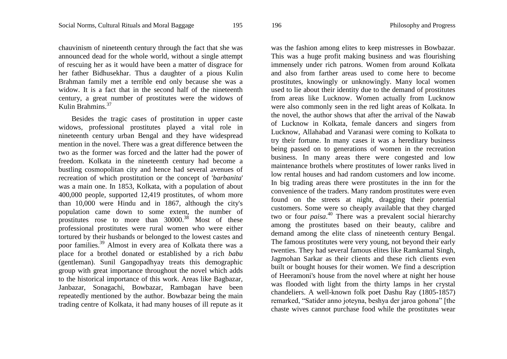chauvinism of nineteenth century through the fact that she was announced dead for the whole world, without a single attempt of rescuing her as it would have been a matter of disgrace for her father Bidhusekhar. Thus a daughter of a pious Kulin Brahman family met a terrible end only because she was a widow. It is a fact that in the second half of the nineteenth century, a great number of prostitutes were the widows of Kulin Brahmins.<sup>37</sup>

Besides the tragic cases of prostitution in upper caste widows, professional prostitutes played a vital role in nineteenth century urban Bengal and they have widespread mention in the novel. There was a great difference between the two as the former was forced and the latter had the power of freedom. Kolkata in the nineteenth century had become a bustling cosmopolitan city and hence had several avenues of recreation of which prostitution or the concept of '*barbanita*' was a main one. In 1853, Kolkata, with a population of about 400,000 people, supported 12,419 prostitutes, of whom more than 10,000 were Hindu and in 1867, although the city's population came down to some extent, the number of prostitutes rose to more than  $30000^{38}$  Most of these professional prostitutes were rural women who were either tortured by their husbands or belonged to the lowest castes and poor families.<sup>39</sup> Almost in every area of Kolkata there was a place for a brothel donated or established by a rich *babu*  (gentleman). Sunil Gangopadhyay treats this demographic group with great importance throughout the novel which adds to the historical importance of this work. Areas like Bagbazar, Janbazar, Sonagachi, Bowbazar, Rambagan have been repeatedly mentioned by the author. Bowbazar being the main trading centre of Kolkata, it had many houses of ill repute as it

was the fashion among elites to keep mistresses in Bowbazar. This was a huge profit making business and was flourishing immensely under rich patrons. Women from around Kolkata and also from farther areas used to come here to become prostitutes, knowingly or unknowingly. Many local women used to lie about their identity due to the demand of prostitutes from areas like Lucknow. Women actually from Lucknow were also commonly seen in the red light areas of Kolkata. In the novel, the author shows that after the arrival of the Nawab of Lucknow in Kolkata, female dancers and singers from Lucknow, Allahabad and Varanasi were coming to Kolkata to try their fortune. In many cases it was a hereditary business being passed on to generations of women in the recreation business. In many areas there were congested and low maintenance brothels where prostitutes of lower ranks lived in low rental houses and had random customers and low income. In big trading areas there were prostitutes in the inn for the convenience of the traders. Many random prostitutes were even found on the streets at night, dragging their potential customers. Some were so cheaply available that they charged two or four *paisa*. <sup>40</sup> There was a prevalent social hierarchy among the prostitutes based on their beauty, calibre and demand among the elite class of nineteenth century Bengal. The famous prostitutes were very young, not beyond their early twenties. They had several famous elites like Ramkamal Singh, Jagmohan Sarkar as their clients and these rich clients even built or bought houses for their women. We find a description of Heeramoni's house from the novel where at night her house was flooded with light from the thirty lamps in her crystal chandeliers. A well-known folk poet Dashu Ray (1805-1857) remarked, "Satider anno joteyna, beshya der jaroa gohona" [the chaste wives cannot purchase food while the prostitutes wear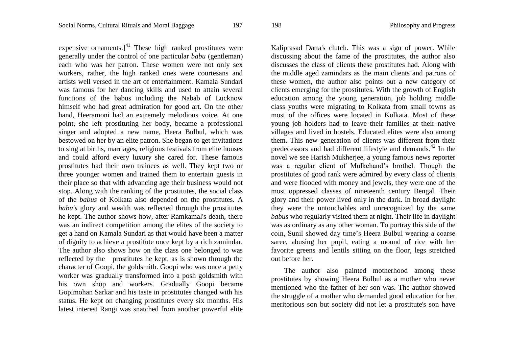expensive ornaments. $]^{41}$  These high ranked prostitutes were generally under the control of one particular *babu* (gentleman) each who was her patron. These women were not only sex workers, rather, the high ranked ones were courtesans and artists well versed in the art of entertainment. Kamala Sundari was famous for her dancing skills and used to attain several functions of the babus including the Nabab of Lucknow himself who had great admiration for good art. On the other hand, Heeramoni had an extremely melodious voice. At one point, she left prostituting her body, became a professional singer and adopted a new name, Heera Bulbul, which was bestowed on her by an elite patron. She began to get invitations to sing at births, marriages, religious festivals from elite houses and could afford every luxury she cared for. These famous prostitutes had their own trainees as well. They kept two or three younger women and trained them to entertain guests in their place so that with advancing age their business would not stop. Along with the ranking of the prostitutes, the social class of the *babus* of Kolkata also depended on the prostitutes. A *babu's* glory and wealth was reflected through the prostitutes he kept. The author shows how, after Ramkamal's death, there was an indirect competition among the elites of the society to get a hand on Kamala Sundari as that would have been a matter of dignity to achieve a prostitute once kept by a rich zamindar. The author also shows how on the class one belonged to was reflected by the prostitutes he kept, as is shown through the character of Goopi, the goldsmith. Goopi who was once a petty worker was gradually transformed into a posh goldsmith with his own shop and workers. Gradually Goopi became Gopimohan Sarkar and his taste in prostitutes changed with his status. He kept on changing prostitutes every six months. His latest interest Rangi was snatched from another powerful elite

Kaliprasad Datta's clutch. This was a sign of power. While discussing about the fame of the prostitutes, the author also discusses the class of clients these prostitutes had. Along with the middle aged zamindars as the main clients and patrons of these women, the author also points out a new category of clients emerging for the prostitutes. With the growth of English education among the young generation, job holding middle class youths were migrating to Kolkata from small towns as most of the offices were located in Kolkata. Most of these young job holders had to leave their families at their native villages and lived in hostels. Educated elites were also among them. This new generation of clients was different from their predecessors and had different lifestyle and demands.<sup>42</sup> In the novel we see Harish Mukherjee, a young famous news reporter was a regular client of Mulkchand's brothel. Though the prostitutes of good rank were admired by every class of clients and were flooded with money and jewels, they were one of the most oppressed classes of nineteenth century Bengal. Their glory and their power lived only in the dark. In broad daylight they were the untouchables and unrecognized by the same *babus* who regularly visited them at night. Their life in daylight was as ordinary as any other woman. To portray this side of the coin, Sunil showed day time's Heera Bulbul wearing a coarse saree, abusing her pupil, eating a mound of rice with her favorite greens and lentils sitting on the floor, legs stretched out before her.

The author also painted motherhood among these prostitutes by showing Heera Bulbul as a mother who never mentioned who the father of her son was. The author showed the struggle of a mother who demanded good education for her meritorious son but society did not let a prostitute's son have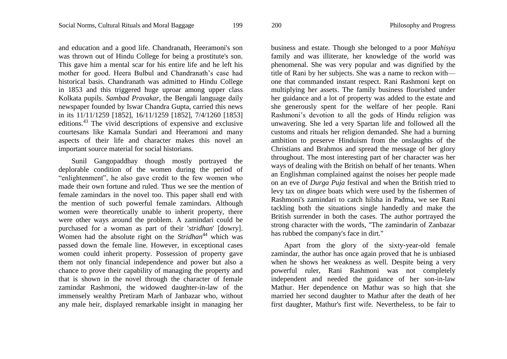and education and a good life. Chandranath, Heeramoni's son was thrown out of Hindu College for being a prostitute's son. This gave him a mental scar for his entire life and he left his mother for good. Heera Bulbul and Chandranath's case had historical basis. Chandranath was admitted to Hindu College in 1853 and this triggered huge uproar among upper class Kolkata pupils. *Sambad Pravakar*, the Bengali language daily newspaper founded by Iswar Chandra Gupta, carried this news in its 11/11/1259 [1852], 16/11/1259 [1852], 7/4/1260 [1853] editions.<sup>43</sup> The vivid descriptions of expensive and exclusive courtesans like Kamala Sundari and Heeramoni and many aspects of their life and character makes this novel an important source material for social historians.

Sunil Gangopaddhay though mostly portrayed the deplorable condition of the women during the period of "enlightenment", he also gave credit to the few women who made their own fortune and ruled. Thus we see the mention of female zamindars in the novel too. This paper shall end with the mention of such powerful female zamindars. Although women were theoretically unable to inherit property, there were other ways around the problem. A zamindari could be purchased for a woman as part of their '*stridhan*' [dowry]. Women had the absolute right on the *Stridhan*<sup>44</sup> which was passed down the female line. However, in exceptional cases women could inherit property. Possession of property gave them not only financial independence and power but also a chance to prove their capability of managing the property and that is shown in the novel through the character of female zamindar Rashmoni, the widowed daughter-in-law of the immensely wealthy Pretiram Marh of Janbazar who, without any male heir, displayed remarkable insight in managing her

business and estate. Though she belonged to a poor *Mahisya* family and was illiterate, her knowledge of the world was phenomenal. She was very popular and was dignified by the title of Rani by her subjects. She was a name to reckon with one that commanded instant respect. Rani Rashmoni kept on multiplying her assets. The family business flourished under her guidance and a lot of property was added to the estate and she generously spent for the welfare of her people. Rani Rashmoni's devotion to all the gods of Hindu religion was unwavering. She led a very Spartan life and followed all the customs and rituals her religion demanded. She had a burning ambition to preserve Hinduism from the onslaughts of the Christians and Brahmos and spread the message of her glory throughout. The most interesting part of her character was her ways of dealing with the British on behalf of her tenants. When an Englishman complained against the noises her people made on an eve of *Durga Puja* festival and when the British tried to levy tax on *dingee* boats which were used by the fishermen of Rashmoni's zamindari to catch hilsha in Padma, we see Rani tackling both the situations single handedly and make the British surrender in both the cases. The author portrayed the strong character with the words, "The zamindarin of Zanbazar has rubbed the company's face in dirt."

Apart from the glory of the sixty-year-old female zamindar, the author has once again proved that he is unbiased when he shows her weakness as well. Despite being a very powerful ruler, Rani Rashmoni was not completely independent and needed the guidance of her son-in-law Mathur. Her dependence on Mathur was so high that she married her second daughter to Mathur after the death of her first daughter, Mathur's first wife. Nevertheless, to be fair to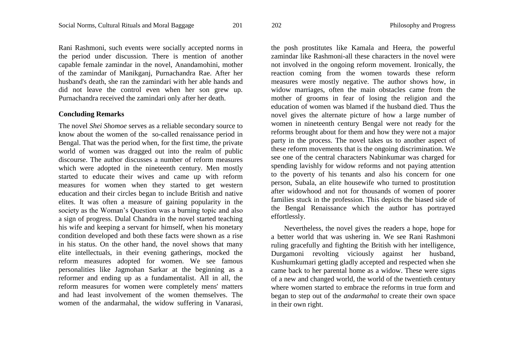Rani Rashmoni, such events were socially accepted norms in the period under discussion. There is mention of another capable female zamindar in the novel, Anandamohini, mother of the zamindar of Manikganj, Purnachandra Rae. After her husband's death, she ran the zamindari with her able hands and did not leave the control even when her son grew up. Purnachandra received the zamindari only after her death.

### **Concluding Remarks**

The novel *Shei Shomoe* serves as a reliable secondary source to know about the women of the so-called renaissance period in Bengal. That was the period when, for the first time, the private world of women was dragged out into the realm of public discourse. The author discusses a number of reform measures which were adopted in the nineteenth century. Men mostly started to educate their wives and came up with reform measures for women when they started to get western education and their circles began to include British and native elites. It was often a measure of gaining popularity in the society as the Woman's Question was a burning topic and also a sign of progress. Dulal Chandra in the novel started teaching his wife and keeping a servant for himself, when his monetary condition developed and both these facts were shown as a rise in his status. On the other hand, the novel shows that many elite intellectuals, in their evening gatherings, mocked the reform measures adopted for women. We see famous personalities like Jagmohan Sarkar at the beginning as a reformer and ending up as a fundamentalist. All in all, the reform measures for women were completely mens' matters and had least involvement of the women themselves. The women of the andarmahal, the widow suffering in Vanarasi, the posh prostitutes like Kamala and Heera, the powerful zamindar like Rashmoni-all these characters in the novel were not involved in the ongoing reform movement. Ironically, the reaction coming from the women towards these reform measures were mostly negative. The author shows how, in widow marriages, often the main obstacles came from the mother of grooms in fear of losing the religion and the education of women was blamed if the husband died. Thus the novel gives the alternate picture of how a large number of women in nineteenth century Bengal were not ready for the reforms brought about for them and how they were not a major party in the process. The novel takes us to another aspect of these reform movements that is the ongoing discrimination. We see one of the central characters Nabinkumar was charged for spending lavishly for widow reforms and not paying attention to the poverty of his tenants and also his concern for one person, Subala, an elite housewife who turned to prostitution after widowhood and not for thousands of women of poorer families stuck in the profession. This depicts the biased side of the Bengal Renaissance which the author has portrayed effortlessly.

Nevertheless, the novel gives the readers a hope, hope for a better world that was ushering in. We see Rani Rashmoni ruling gracefully and fighting the British with her intelligence, Durgamoni revolting viciously against her husband, Kushumkumari getting gladly accepted and respected when she came back to her parental home as a widow. These were signs of a new and changed world, the world of the twentieth century where women started to embrace the reforms in true form and began to step out of the *andarmahal* to create their own space in their own right.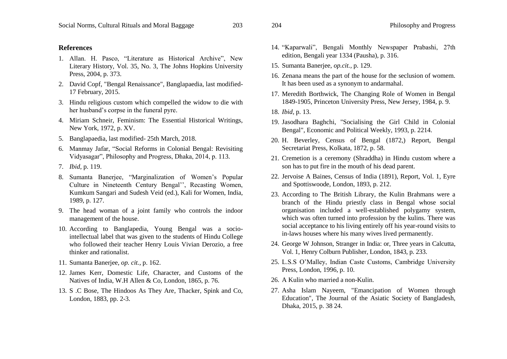### **References**

- 1. Allan. H. Pasco, "Literature as Historical Archive", New Literary History, Vol. 35, No. 3, The Johns Hopkins University Press, 2004, p. 373.
- 2. David Copf, "Bengal Renaissance", Banglapaedia, last modified-17 February, 2015.
- 3. Hindu religious custom which compelled the widow to die with her husband's corpse in the funeral pyre.
- 4. Miriam Schneir, Feminism: The Essential Historical Writings, New York, 1972, p. XV.
- 5. Banglapaedia, last modified- 25th March, 2018.
- 6. Manmay Jafar, "Social Reforms in Colonial Bengal: Revisiting Vidyasagar", Philosophy and Progress, Dhaka, 2014, p. 113.
- 7. *Ibid*, p. 119.
- 8. Sumanta Banerjee, "Marginalization of Women's Popular Culture in Nineteenth Century Bengal'', Recasting Women, Kumkum Sangari and Sudesh Veid (ed.), Kali for Women, India, 1989, p. 127.
- 9. The head woman of a joint family who controls the indoor management of the house.
- 10. According to Banglapedia, Young Bengal was a sociointellectual label that was given to the students of Hindu College who followed their teacher Henry Louis Vivian Derozio, a free thinker and rationalist.
- 11. Sumanta Banerjee, *op. cit.,* p. 162.
- 12. James Kerr, Domestic Life, Character, and Customs of the Natives of India, W.H Allen & Co, London, 1865, p. 76.
- 13. S .C Bose, The Hindoos As They Are, Thacker, Spink and Co, London, 1883, pp. 2-3.
- 14. "Kaparwali", Bengali Monthly Newspaper Prabashi, 27th edition, Bengali year 1334 (Pausha), p. 316.
- 15. Sumanta Banerjee, *op.cit.,* p. 129.
- 16. Zenana means the part of the house for the seclusion of womem. It has been used as a synonym to andarmahal.
- 17. Meredith Borthwick, The Changing Role of Women in Bengal 1849-1905, Princeton University Press, New Jersey, 1984, p. 9.
- 18. *Ibid,* p. 13.
- 19. Jasodhara Baghchi, "Socialising the Girl Child in Colonial Bengal", Economic and Political Weekly, 1993, p. 2214.
- 20. H. Beverley, Census of Bengal (1872,) Report, Bengal Secretariat Press, Kolkata, 1872, p. 58.
- 21. Cremetion is a ceremony (Shraddha) in Hindu custom where a son has to put fire in the mouth of his dead parent.
- 22. Jervoise A Baines, Census of India (1891), Report, Vol. 1, Eyre and Spottiswoode, London, 1893, p. 212.
- 23. According to The British Library, the Kulin Brahmans were a branch of the Hindu priestly class in Bengal whose social organisation included a well-established polygamy system, which was often turned into profession by the kulins. There was social acceptance to his living entirely off his year-round visits to in-laws houses where his many wives lived permanently.
- 24. George W Johnson, Stranger in India: or, Three years in Calcutta, Vol. 1, Henry Colburn Publisher, London, 1843, p. 233.
- 25. L.S.S O'Malley, Indian Caste Customs, Cambridge University Press, London, 1996, p. 10.
- 26. A Kulin who married a non-Kulin.
- 27. Asha Islam Nayeem, "Emancipation of Women through Education", The Journal of the Asiatic Society of Bangladesh, Dhaka, 2015, p. 38 24.